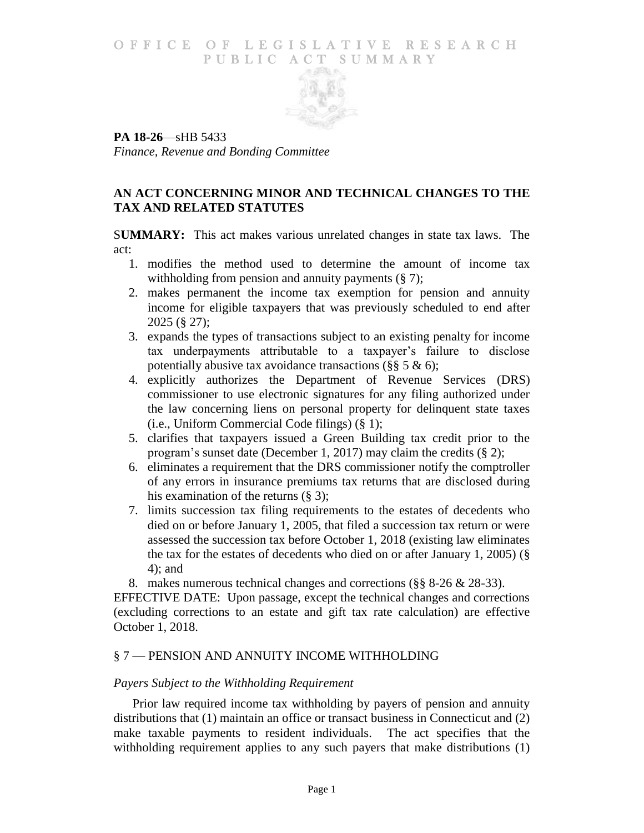#### O F FICE OF LEGISLATIVE RESEARCH PUBLIC ACT SUMMARY



**PA 18-26**—sHB 5433 *Finance, Revenue and Bonding Committee*

### **AN ACT CONCERNING MINOR AND TECHNICAL CHANGES TO THE TAX AND RELATED STATUTES**

S**UMMARY:** This act makes various unrelated changes in state tax laws. The act:

- 1. modifies the method used to determine the amount of income tax withholding from pension and annuity payments  $(\S 7)$ ;
- 2. makes permanent the income tax exemption for pension and annuity income for eligible taxpayers that was previously scheduled to end after 2025 (§ 27);
- 3. expands the types of transactions subject to an existing penalty for income tax underpayments attributable to a taxpayer's failure to disclose potentially abusive tax avoidance transactions (§§ 5  $\&$  6);
- 4. explicitly authorizes the Department of Revenue Services (DRS) commissioner to use electronic signatures for any filing authorized under the law concerning liens on personal property for delinquent state taxes (i.e., Uniform Commercial Code filings) (§ 1);
- 5. clarifies that taxpayers issued a Green Building tax credit prior to the program's sunset date (December 1, 2017) may claim the credits (§ 2);
- 6. eliminates a requirement that the DRS commissioner notify the comptroller of any errors in insurance premiums tax returns that are disclosed during his examination of the returns  $(\S$  3);
- 7. limits succession tax filing requirements to the estates of decedents who died on or before January 1, 2005, that filed a succession tax return or were assessed the succession tax before October 1, 2018 (existing law eliminates the tax for the estates of decedents who died on or after January 1, 2005) (§ 4); and

8. makes numerous technical changes and corrections (§§ 8-26 & 28-33).

EFFECTIVE DATE: Upon passage, except the technical changes and corrections (excluding corrections to an estate and gift tax rate calculation) are effective October 1, 2018.

# § 7 — PENSION AND ANNUITY INCOME WITHHOLDING

#### *Payers Subject to the Withholding Requirement*

Prior law required income tax withholding by payers of pension and annuity distributions that (1) maintain an office or transact business in Connecticut and (2) make taxable payments to resident individuals. The act specifies that the withholding requirement applies to any such payers that make distributions (1)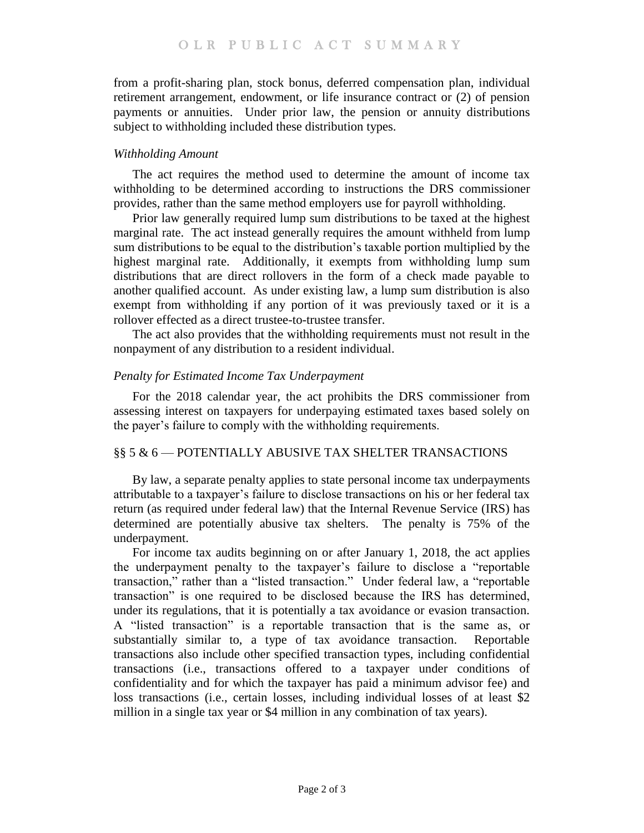from a profit-sharing plan, stock bonus, deferred compensation plan, individual retirement arrangement, endowment, or life insurance contract or (2) of pension payments or annuities. Under prior law, the pension or annuity distributions subject to withholding included these distribution types.

#### *Withholding Amount*

The act requires the method used to determine the amount of income tax withholding to be determined according to instructions the DRS commissioner provides, rather than the same method employers use for payroll withholding.

Prior law generally required lump sum distributions to be taxed at the highest marginal rate. The act instead generally requires the amount withheld from lump sum distributions to be equal to the distribution's taxable portion multiplied by the highest marginal rate. Additionally, it exempts from withholding lump sum distributions that are direct rollovers in the form of a check made payable to another qualified account. As under existing law, a lump sum distribution is also exempt from withholding if any portion of it was previously taxed or it is a rollover effected as a direct trustee-to-trustee transfer.

The act also provides that the withholding requirements must not result in the nonpayment of any distribution to a resident individual.

### *Penalty for Estimated Income Tax Underpayment*

For the 2018 calendar year, the act prohibits the DRS commissioner from assessing interest on taxpayers for underpaying estimated taxes based solely on the payer's failure to comply with the withholding requirements.

#### §§ 5 & 6 — POTENTIALLY ABUSIVE TAX SHELTER TRANSACTIONS

By law, a separate penalty applies to state personal income tax underpayments attributable to a taxpayer's failure to disclose transactions on his or her federal tax return (as required under federal law) that the Internal Revenue Service (IRS) has determined are potentially abusive tax shelters. The penalty is 75% of the underpayment.

For income tax audits beginning on or after January 1, 2018, the act applies the underpayment penalty to the taxpayer's failure to disclose a "reportable transaction," rather than a "listed transaction." Under federal law, a "reportable transaction" is one required to be disclosed because the IRS has determined, under its regulations, that it is potentially a tax avoidance or evasion transaction. A "listed transaction" is a reportable transaction that is the same as, or substantially similar to, a type of tax avoidance transaction. Reportable transactions also include other specified transaction types, including confidential transactions (i.e., transactions offered to a taxpayer under conditions of confidentiality and for which the taxpayer has paid a minimum advisor fee) and loss transactions (i.e., certain losses, including individual losses of at least \$2 million in a single tax year or \$4 million in any combination of tax years).